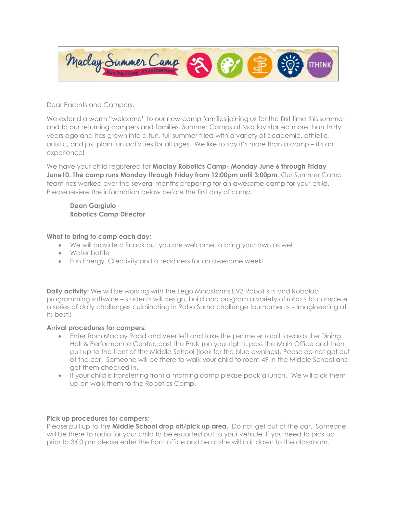

Dear Parents and Campers,

We extend a warm "welcome" to our new camp families joining us for the first time this summer and to our returning campers and families. Summer Camps at Maclay started more than thirty years ago and has grown into a fun, full summer filled with a variety of academic, athletic, artistic, and just plain fun activities for all ages. We like to say it's more than a camp – it's an experience!

We have your child registered for **Maclay Robotics Camp- Monday June 6 through Friday June10. The camp runs Monday through Friday from 12:00pm until 3:00pm**. Our Summer Camp team has worked over the several months preparing for an awesome camp for your child. Please review the information below before the first day of camp.

**Dean Gargiulo Robotics Camp Director**

## **What to bring to camp each day:**

- We will provide a Snack but you are welcome to bring your own as well
- Water bottle
- Fun Energy, Creativity and a readiness for an awesome week!

**Daily activity:** We will be working with the Lego Mindstorms EV3 Robot kits and Robolab programming software – students will design, build and program a variety of robots to complete a series of daily challenges culminating in Robo Sumo challenge tournaments – Imagineering at its best!!

## **Arrival procedures for campers:**

- Enter from Maclay Road and veer left and take the perimeter road towards the Dining Hall & Performance Center, past the PreK (on your right), pass the Main Office and then pull up to the front of the Middle School (look for the blue awnings). Pease do not get out of the car. Someone will be there to walk your child to room 49 in the Middle School and get them checked in.
- If your child is transferring from a morning camp please pack a lunch. We will pick them up an walk them to the Robotics Camp.

## **Pick up procedures for campers:**

Please pull up to the **Middle School drop off/pick up area**. Do not get out of the car. Someone will be there to radio for your child to be escorted out to your vehicle. If you need to pick up prior to 3:00 pm please enter the front office and he or she will call down to the classroom.